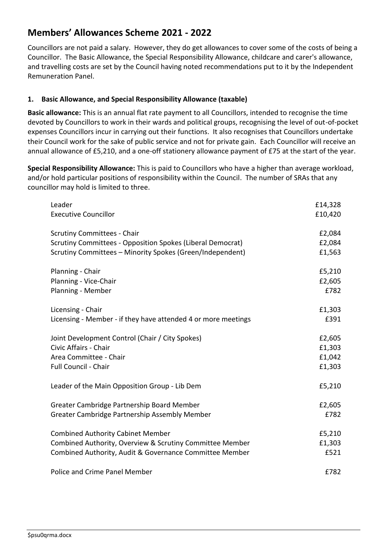# **Members' Allowances Scheme 2021 - 2022**

Councillors are not paid a salary. However, they do get allowances to cover some of the costs of being a Councillor. The Basic Allowance, the Special Responsibility Allowance, childcare and carer's allowance, and travelling costs are set by the Council having noted recommendations put to it by the Independent Remuneration Panel.

### **1. Basic Allowance, and Special Responsibility Allowance (taxable)**

**Basic allowance:** This is an annual flat rate payment to all Councillors, intended to recognise the time devoted by Councillors to work in their wards and political groups, recognising the level of out-of-pocket expenses Councillors incur in carrying out their functions. It also recognises that Councillors undertake their Council work for the sake of public service and not for private gain. Each Councillor will receive an annual allowance of £5,210, and a one-off stationery allowance payment of £75 at the start of the year.

**Special Responsibility Allowance:** This is paid to Councillors who have a higher than average workload, and/or hold particular positions of responsibility within the Council. The number of SRAs that any councillor may hold is limited to three.

| Leader                                                        | £14,328 |
|---------------------------------------------------------------|---------|
| <b>Executive Councillor</b>                                   | £10,420 |
|                                                               |         |
| <b>Scrutiny Committees - Chair</b>                            | £2,084  |
| Scrutiny Committees - Opposition Spokes (Liberal Democrat)    | £2,084  |
| Scrutiny Committees - Minority Spokes (Green/Independent)     | £1,563  |
|                                                               |         |
| Planning - Chair                                              | £5,210  |
| Planning - Vice-Chair                                         | £2,605  |
| Planning - Member                                             | £782    |
| Licensing - Chair                                             | £1,303  |
| Licensing - Member - if they have attended 4 or more meetings | £391    |
|                                                               |         |
| Joint Development Control (Chair / City Spokes)               | £2,605  |
| Civic Affairs - Chair                                         | £1,303  |
| Area Committee - Chair                                        | £1,042  |
| Full Council - Chair                                          | £1,303  |
|                                                               |         |
| Leader of the Main Opposition Group - Lib Dem                 | £5,210  |
|                                                               |         |
| Greater Cambridge Partnership Board Member                    | £2,605  |
| Greater Cambridge Partnership Assembly Member                 | £782    |
|                                                               |         |
| <b>Combined Authority Cabinet Member</b>                      | £5,210  |
| Combined Authority, Overview & Scrutiny Committee Member      | £1,303  |
| Combined Authority, Audit & Governance Committee Member       | £521    |
| Police and Crime Panel Member                                 | £782    |
|                                                               |         |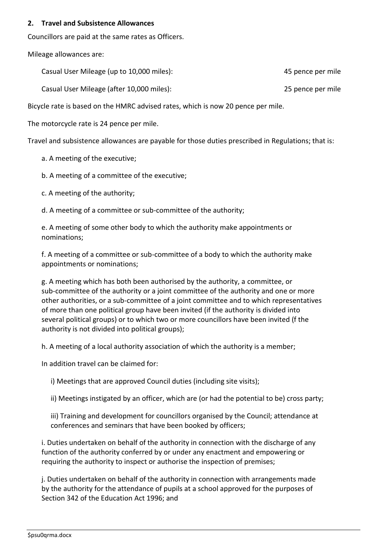#### **2. Travel and Subsistence Allowances**

Councillors are paid at the same rates as Officers.

Mileage allowances are:

Casual User Mileage (up to 10,000 miles): 45 pence per mile

Casual User Mileage (after 10,000 miles): 25 pence per mile

Bicycle rate is based on the HMRC advised rates, which is now 20 pence per mile.

The motorcycle rate is 24 pence per mile.

Travel and subsistence allowances are payable for those duties prescribed in Regulations; that is:

a. A meeting of the executive;

b. A meeting of a committee of the executive;

c. A meeting of the authority;

d. A meeting of a committee or sub-committee of the authority;

e. A meeting of some other body to which the authority make appointments or nominations;

f. A meeting of a committee or sub-committee of a body to which the authority make appointments or nominations;

g. A meeting which has both been authorised by the authority, a committee, or sub-committee of the authority or a joint committee of the authority and one or more other authorities, or a sub-committee of a joint committee and to which representatives of more than one political group have been invited (if the authority is divided into several political groups) or to which two or more councillors have been invited (f the authority is not divided into political groups);

h. A meeting of a local authority association of which the authority is a member;

In addition travel can be claimed for:

i) Meetings that are approved Council duties (including site visits);

ii) Meetings instigated by an officer, which are (or had the potential to be) cross party;

iii) Training and development for councillors organised by the Council; attendance at conferences and seminars that have been booked by officers;

i. Duties undertaken on behalf of the authority in connection with the discharge of any function of the authority conferred by or under any enactment and empowering or requiring the authority to inspect or authorise the inspection of premises;

j. Duties undertaken on behalf of the authority in connection with arrangements made by the authority for the attendance of pupils at a school approved for the purposes of Section 342 of the Education Act 1996; and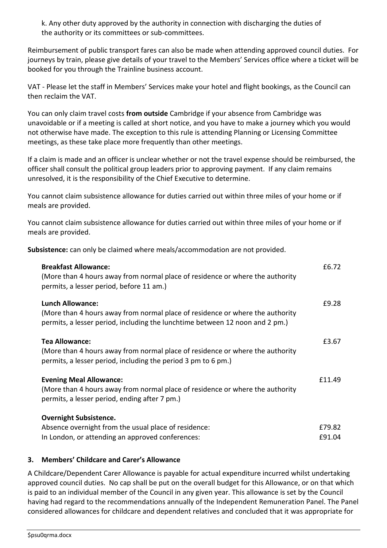k. Any other duty approved by the authority in connection with discharging the duties of the authority or its committees or sub-committees.

Reimbursement of public transport fares can also be made when attending approved council duties. For journeys by train, please give details of your travel to the Members' Services office where a ticket will be booked for you through the Trainline business account.

VAT - Please let the staff in Members' Services make your hotel and flight bookings, as the Council can then reclaim the VAT.

You can only claim travel costs **from outside** Cambridge if your absence from Cambridge was unavoidable or if a meeting is called at short notice, and you have to make a journey which you would not otherwise have made. The exception to this rule is attending Planning or Licensing Committee meetings, as these take place more frequently than other meetings.

If a claim is made and an officer is unclear whether or not the travel expense should be reimbursed, the officer shall consult the political group leaders prior to approving payment. If any claim remains unresolved, it is the responsibility of the Chief Executive to determine.

You cannot claim subsistence allowance for duties carried out within three miles of your home or if meals are provided.

You cannot claim subsistence allowance for duties carried out within three miles of your home or if meals are provided.

**Subsistence:** can only be claimed where meals/accommodation are not provided.

| <b>Breakfast Allowance:</b><br>(More than 4 hours away from normal place of residence or where the authority<br>permits, a lesser period, before 11 am.)                                 | £6.72            |
|------------------------------------------------------------------------------------------------------------------------------------------------------------------------------------------|------------------|
| <b>Lunch Allowance:</b><br>(More than 4 hours away from normal place of residence or where the authority<br>permits, a lesser period, including the lunchtime between 12 noon and 2 pm.) | £9.28            |
| <b>Tea Allowance:</b><br>(More than 4 hours away from normal place of residence or where the authority<br>permits, a lesser period, including the period 3 pm to 6 pm.)                  | £3.67            |
| <b>Evening Meal Allowance:</b><br>(More than 4 hours away from normal place of residence or where the authority<br>permits, a lesser period, ending after 7 pm.)                         | £11.49           |
| <b>Overnight Subsistence.</b><br>Absence overnight from the usual place of residence:<br>In London, or attending an approved conferences:                                                | £79.82<br>£91.04 |

#### **3. Members' Childcare and Carer's Allowance**

A Childcare/Dependent Carer Allowance is payable for actual expenditure incurred whilst undertaking approved council duties. No cap shall be put on the overall budget for this Allowance, or on that which is paid to an individual member of the Council in any given year. This allowance is set by the Council having had regard to the recommendations annually of the Independent Remuneration Panel. The Panel considered allowances for childcare and dependent relatives and concluded that it was appropriate for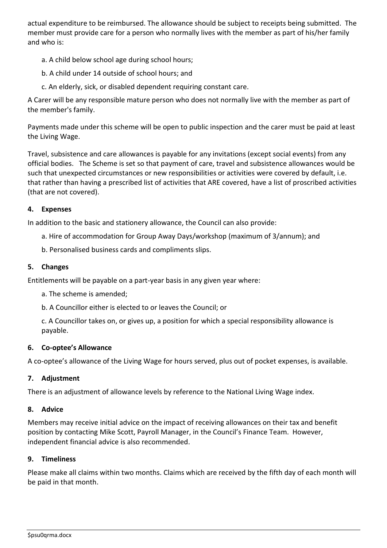actual expenditure to be reimbursed. The allowance should be subject to receipts being submitted. The member must provide care for a person who normally lives with the member as part of his/her family and who is:

- a. A child below school age during school hours;
- b. A child under 14 outside of school hours; and
- c. An elderly, sick, or disabled dependent requiring constant care.

A Carer will be any responsible mature person who does not normally live with the member as part of the member's family.

Payments made under this scheme will be open to public inspection and the carer must be paid at least the Living Wage.

Travel, subsistence and care allowances is payable for any invitations (except social events) from any official bodies. The Scheme is set so that payment of care, travel and subsistence allowances would be such that unexpected circumstances or new responsibilities or activities were covered by default, i.e. that rather than having a prescribed list of activities that ARE covered, have a list of proscribed activities (that are not covered).

#### **4. Expenses**

In addition to the basic and stationery allowance, the Council can also provide:

- a. Hire of accommodation for Group Away Days/workshop (maximum of 3/annum); and
- b. Personalised business cards and compliments slips.

#### **5. Changes**

Entitlements will be payable on a part-year basis in any given year where:

- a. The scheme is amended;
- b. A Councillor either is elected to or leaves the Council; or

c. A Councillor takes on, or gives up, a position for which a special responsibility allowance is payable.

#### **6. Co-optee's Allowance**

A co-optee's allowance of the Living Wage for hours served, plus out of pocket expenses, is available.

#### **7. Adjustment**

There is an adjustment of allowance levels by reference to the National Living Wage index.

#### **8. Advice**

Members may receive initial advice on the impact of receiving allowances on their tax and benefit position by contacting Mike Scott, Payroll Manager, in the Council's Finance Team. However, independent financial advice is also recommended.

#### **9. Timeliness**

Please make all claims within two months. Claims which are received by the fifth day of each month will be paid in that month.